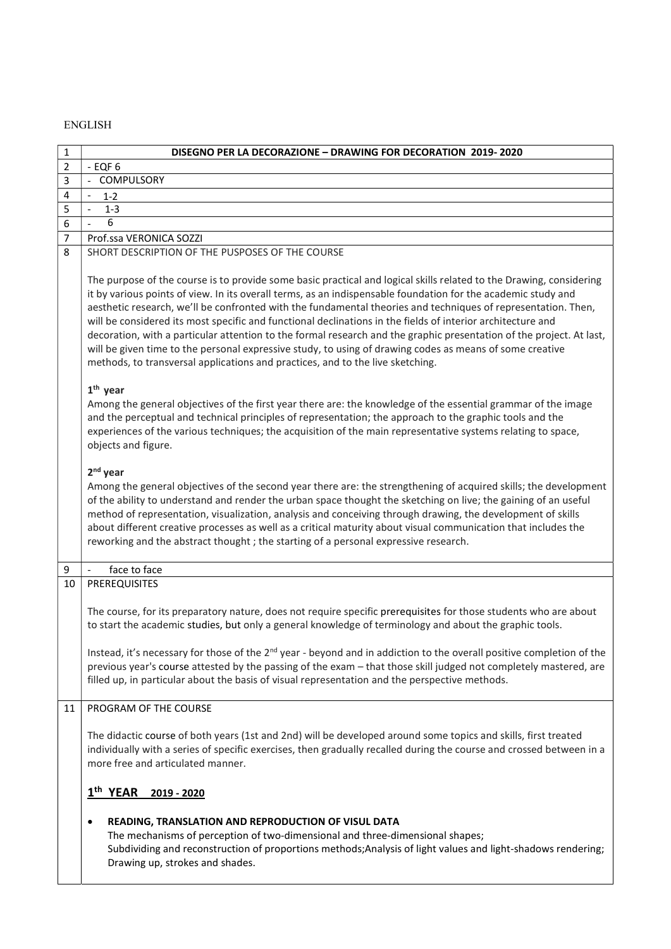## ENGLISH

| 1              | DISEGNO PER LA DECORAZIONE - DRAWING FOR DECORATION 2019-2020                                                                                                                                                                                                                                                                                                                                                                                                                                                                                                                                                                                                                                                                                                                              |
|----------------|--------------------------------------------------------------------------------------------------------------------------------------------------------------------------------------------------------------------------------------------------------------------------------------------------------------------------------------------------------------------------------------------------------------------------------------------------------------------------------------------------------------------------------------------------------------------------------------------------------------------------------------------------------------------------------------------------------------------------------------------------------------------------------------------|
| $\overline{2}$ | $-$ EQF $6$                                                                                                                                                                                                                                                                                                                                                                                                                                                                                                                                                                                                                                                                                                                                                                                |
| 3              | - COMPULSORY                                                                                                                                                                                                                                                                                                                                                                                                                                                                                                                                                                                                                                                                                                                                                                               |
| 4              | $1 - 2$                                                                                                                                                                                                                                                                                                                                                                                                                                                                                                                                                                                                                                                                                                                                                                                    |
| 5              | $1 - 3$                                                                                                                                                                                                                                                                                                                                                                                                                                                                                                                                                                                                                                                                                                                                                                                    |
| 6              | 6                                                                                                                                                                                                                                                                                                                                                                                                                                                                                                                                                                                                                                                                                                                                                                                          |
| 7              | Prof.ssa VERONICA SOZZI                                                                                                                                                                                                                                                                                                                                                                                                                                                                                                                                                                                                                                                                                                                                                                    |
| 8              | SHORT DESCRIPTION OF THE PUSPOSES OF THE COURSE                                                                                                                                                                                                                                                                                                                                                                                                                                                                                                                                                                                                                                                                                                                                            |
|                | The purpose of the course is to provide some basic practical and logical skills related to the Drawing, considering<br>it by various points of view. In its overall terms, as an indispensable foundation for the academic study and<br>aesthetic research, we'll be confronted with the fundamental theories and techniques of representation. Then,<br>will be considered its most specific and functional declinations in the fields of interior architecture and<br>decoration, with a particular attention to the formal research and the graphic presentation of the project. At last,<br>will be given time to the personal expressive study, to using of drawing codes as means of some creative<br>methods, to transversal applications and practices, and to the live sketching. |
|                | $1th$ year<br>Among the general objectives of the first year there are: the knowledge of the essential grammar of the image<br>and the perceptual and technical principles of representation; the approach to the graphic tools and the<br>experiences of the various techniques; the acquisition of the main representative systems relating to space,<br>objects and figure.                                                                                                                                                                                                                                                                                                                                                                                                             |
|                | $2nd$ year<br>Among the general objectives of the second year there are: the strengthening of acquired skills; the development<br>of the ability to understand and render the urban space thought the sketching on live; the gaining of an useful<br>method of representation, visualization, analysis and conceiving through drawing, the development of skills<br>about different creative processes as well as a critical maturity about visual communication that includes the<br>reworking and the abstract thought; the starting of a personal expressive research.                                                                                                                                                                                                                  |
| 9              | face to face<br>$\overline{\phantom{a}}$                                                                                                                                                                                                                                                                                                                                                                                                                                                                                                                                                                                                                                                                                                                                                   |
| 10             | PREREQUISITES                                                                                                                                                                                                                                                                                                                                                                                                                                                                                                                                                                                                                                                                                                                                                                              |
|                | The course, for its preparatory nature, does not require specific prerequisites for those students who are about<br>to start the academic studies, but only a general knowledge of terminology and about the graphic tools.                                                                                                                                                                                                                                                                                                                                                                                                                                                                                                                                                                |
|                | Instead, it's necessary for those of the 2 <sup>nd</sup> year - beyond and in addiction to the overall positive completion of the<br>previous year's course attested by the passing of the exam - that those skill judged not completely mastered, are<br>filled up, in particular about the basis of visual representation and the perspective methods.                                                                                                                                                                                                                                                                                                                                                                                                                                   |
| 11             | PROGRAM OF THE COURSE                                                                                                                                                                                                                                                                                                                                                                                                                                                                                                                                                                                                                                                                                                                                                                      |
|                | The didactic course of both years (1st and 2nd) will be developed around some topics and skills, first treated<br>individually with a series of specific exercises, then gradually recalled during the course and crossed between in a<br>more free and articulated manner.                                                                                                                                                                                                                                                                                                                                                                                                                                                                                                                |
|                | 1 <sup>th</sup> YEAR<br>2019 - 2020                                                                                                                                                                                                                                                                                                                                                                                                                                                                                                                                                                                                                                                                                                                                                        |
|                | READING, TRANSLATION AND REPRODUCTION OF VISUL DATA<br>$\bullet$<br>The mechanisms of perception of two-dimensional and three-dimensional shapes;<br>Subdividing and reconstruction of proportions methods; Analysis of light values and light-shadows rendering;<br>Drawing up, strokes and shades.                                                                                                                                                                                                                                                                                                                                                                                                                                                                                       |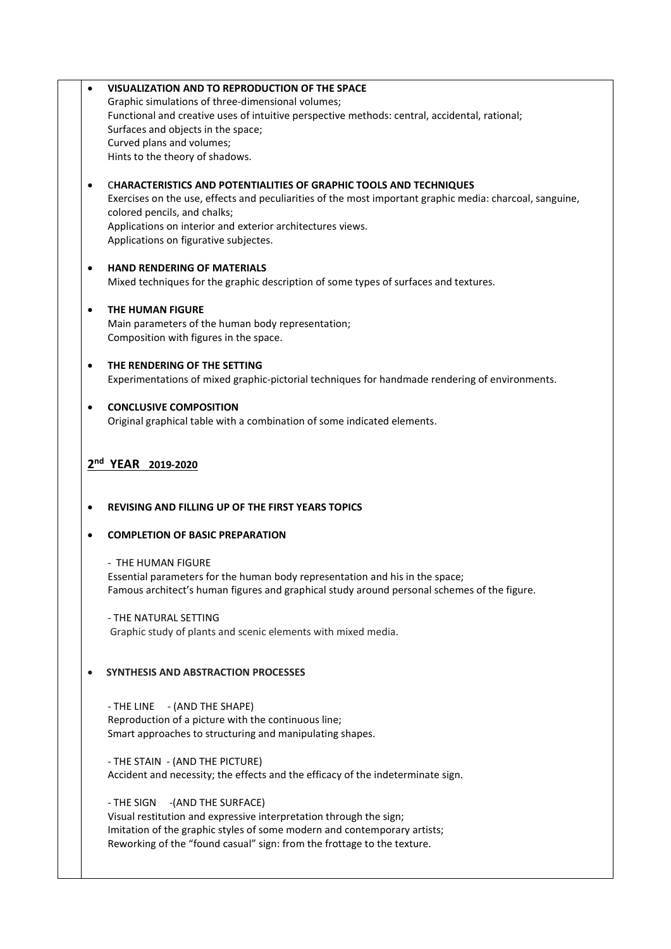| ٠              |                                                                                                                                                     |
|----------------|-----------------------------------------------------------------------------------------------------------------------------------------------------|
|                | Graphic simulations of three-dimensional volumes;                                                                                                   |
|                | Functional and creative uses of intuitive perspective methods: central, accidental, rational;                                                       |
|                | Surfaces and objects in the space;                                                                                                                  |
|                | Curved plans and volumes;                                                                                                                           |
|                | Hints to the theory of shadows.                                                                                                                     |
| $\bullet$      | <b>CHARACTERISTICS AND POTENTIALITIES OF GRAPHIC TOOLS AND TECHNIQUES</b>                                                                           |
|                | Exercises on the use, effects and peculiarities of the most important graphic media: charcoal, sanguine,                                            |
|                | colored pencils, and chalks;                                                                                                                        |
|                | Applications on interior and exterior architectures views.                                                                                          |
|                | Applications on figurative subjectes.                                                                                                               |
| $\bullet$      | <b>HAND RENDERING OF MATERIALS</b>                                                                                                                  |
|                | Mixed techniques for the graphic description of some types of surfaces and textures.                                                                |
| $\bullet$      | <b>THE HUMAN FIGURE</b>                                                                                                                             |
|                | Main parameters of the human body representation;                                                                                                   |
|                | Composition with figures in the space.                                                                                                              |
| $\bullet$      | THE RENDERING OF THE SETTING                                                                                                                        |
|                | Experimentations of mixed graphic-pictorial techniques for handmade rendering of environments.                                                      |
| ٠              | <b>CONCLUSIVE COMPOSITION</b>                                                                                                                       |
|                | Original graphical table with a combination of some indicated elements.                                                                             |
|                | 2nd YEAR 2019-2020                                                                                                                                  |
|                | <b>REVISING AND FILLING UP OF THE FIRST YEARS TOPICS</b>                                                                                            |
|                | <b>COMPLETION OF BASIC PREPARATION</b>                                                                                                              |
| ٠<br>$\bullet$ | - THE HUMAN FIGURE                                                                                                                                  |
|                | Essential parameters for the human body representation and his in the space;                                                                        |
|                | Famous architect's human figures and graphical study around personal schemes of the figure.                                                         |
|                | - THE NATURAL SETTING                                                                                                                               |
|                | Graphic study of plants and scenic elements with mixed media.                                                                                       |
|                | <b>SYNTHESIS AND ABSTRACTION PROCESSES</b>                                                                                                          |
|                |                                                                                                                                                     |
|                | - THE LINE - (AND THE SHAPE)                                                                                                                        |
|                | Reproduction of a picture with the continuous line;<br>Smart approaches to structuring and manipulating shapes.                                     |
|                | - THE STAIN - (AND THE PICTURE)                                                                                                                     |
|                | Accident and necessity; the effects and the efficacy of the indeterminate sign.                                                                     |
|                | -(AND THE SURFACE)<br>- THE SIGN                                                                                                                    |
|                | Visual restitution and expressive interpretation through the sign;                                                                                  |
|                | Imitation of the graphic styles of some modern and contemporary artists;<br>Reworking of the "found casual" sign: from the frottage to the texture. |